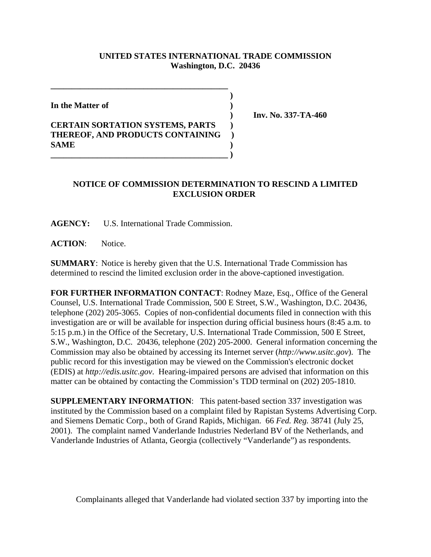## **UNITED STATES INTERNATIONAL TRADE COMMISSION Washington, D.C. 20436**

 **)**

**In the Matter of )**

## **CERTAIN SORTATION SYSTEMS, PARTS ) THEREOF, AND PRODUCTS CONTAINING ) SAME ) \_\_\_\_\_\_\_\_\_\_\_\_\_\_\_\_\_\_\_\_\_\_\_\_\_\_\_\_\_\_\_\_\_\_\_\_\_\_\_\_\_\_ )**

**\_\_\_\_\_\_\_\_\_\_\_\_\_\_\_\_\_\_\_\_\_\_\_\_\_\_\_\_\_\_\_\_\_\_\_\_\_\_\_\_\_\_**

 **) Inv. No. 337-TA-460**

## **NOTICE OF COMMISSION DETERMINATION TO RESCIND A LIMITED EXCLUSION ORDER**

**AGENCY:** U.S. International Trade Commission.

**ACTION**: Notice.

**SUMMARY**: Notice is hereby given that the U.S. International Trade Commission has determined to rescind the limited exclusion order in the above-captioned investigation.

**FOR FURTHER INFORMATION CONTACT**: Rodney Maze, Esq., Office of the General Counsel, U.S. International Trade Commission, 500 E Street, S.W., Washington, D.C. 20436, telephone (202) 205-3065. Copies of non-confidential documents filed in connection with this investigation are or will be available for inspection during official business hours (8:45 a.m. to 5:15 p.m.) in the Office of the Secretary, U.S. International Trade Commission, 500 E Street, S.W., Washington, D.C. 20436, telephone (202) 205-2000. General information concerning the Commission may also be obtained by accessing its Internet server (*http://www.usitc.gov*). The public record for this investigation may be viewed on the Commission's electronic docket (EDIS) at *http://edis.usitc.gov*. Hearing-impaired persons are advised that information on this matter can be obtained by contacting the Commission's TDD terminal on (202) 205-1810.

**SUPPLEMENTARY INFORMATION**: This patent-based section 337 investigation was instituted by the Commission based on a complaint filed by Rapistan Systems Advertising Corp. and Siemens Dematic Corp., both of Grand Rapids, Michigan. 66 *Fed. Reg.* 38741 (July 25, 2001). The complaint named Vanderlande Industries Nederland BV of the Netherlands, and Vanderlande Industries of Atlanta, Georgia (collectively "Vanderlande") as respondents.

Complainants alleged that Vanderlande had violated section 337 by importing into the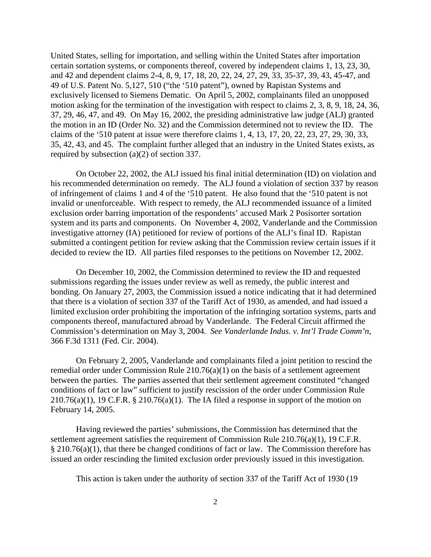United States, selling for importation, and selling within the United States after importation certain sortation systems, or components thereof, covered by independent claims 1, 13, 23, 30, and 42 and dependent claims 2-4, 8, 9, 17, 18, 20, 22, 24, 27, 29, 33, 35-37, 39, 43, 45-47, and 49 of U.S. Patent No. 5,127, 510 ("the '510 patent"), owned by Rapistan Systems and exclusively licensed to Siemens Dematic. On April 5, 2002, complainants filed an unopposed motion asking for the termination of the investigation with respect to claims 2, 3, 8, 9, 18, 24, 36, 37, 29, 46, 47, and 49. On May 16, 2002, the presiding administrative law judge (ALJ) granted the motion in an ID (Order No. 32) and the Commission determined not to review the ID. The claims of the '510 patent at issue were therefore claims 1, 4, 13, 17, 20, 22, 23, 27, 29, 30, 33, 35, 42, 43, and 45. The complaint further alleged that an industry in the United States exists, as required by subsection (a)(2) of section 337.

On October 22, 2002, the ALJ issued his final initial determination (ID) on violation and his recommended determination on remedy. The ALJ found a violation of section 337 by reason of infringement of claims 1 and 4 of the '510 patent. He also found that the '510 patent is not invalid or unenforceable. With respect to remedy, the ALJ recommended issuance of a limited exclusion order barring importation of the respondents' accused Mark 2 Posisorter sortation system and its parts and components. On November 4, 2002, Vanderlande and the Commission investigative attorney (IA) petitioned for review of portions of the ALJ's final ID. Rapistan submitted a contingent petition for review asking that the Commission review certain issues if it decided to review the ID. All parties filed responses to the petitions on November 12, 2002.

On December 10, 2002, the Commission determined to review the ID and requested submissions regarding the issues under review as well as remedy, the public interest and bonding. On January 27, 2003, the Commission issued a notice indicating that it had determined that there is a violation of section 337 of the Tariff Act of 1930, as amended, and had issued a limited exclusion order prohibiting the importation of the infringing sortation systems, parts and components thereof, manufactured abroad by Vanderlande. The Federal Circuit affirmed the Commission's determination on May 3, 2004. *See Vanderlande Indus. v. Int'l Trade Comm'n*, 366 F.3d 1311 (Fed. Cir. 2004).

On February 2, 2005, Vanderlande and complainants filed a joint petition to rescind the remedial order under Commission Rule 210.76(a)(1) on the basis of a settlement agreement between the parties. The parties asserted that their settlement agreement constituted "changed conditions of fact or law" sufficient to justify rescission of the order under Commission Rule  $210.76(a)(1)$ , 19 C.F.R. § 210.76(a)(1). The IA filed a response in support of the motion on February 14, 2005.

Having reviewed the parties' submissions, the Commission has determined that the settlement agreement satisfies the requirement of Commission Rule 210.76(a)(1), 19 C.F.R.  $§$  210.76(a)(1), that there be changed conditions of fact or law. The Commission therefore has issued an order rescinding the limited exclusion order previously issued in this investigation.

This action is taken under the authority of section 337 of the Tariff Act of 1930 (19